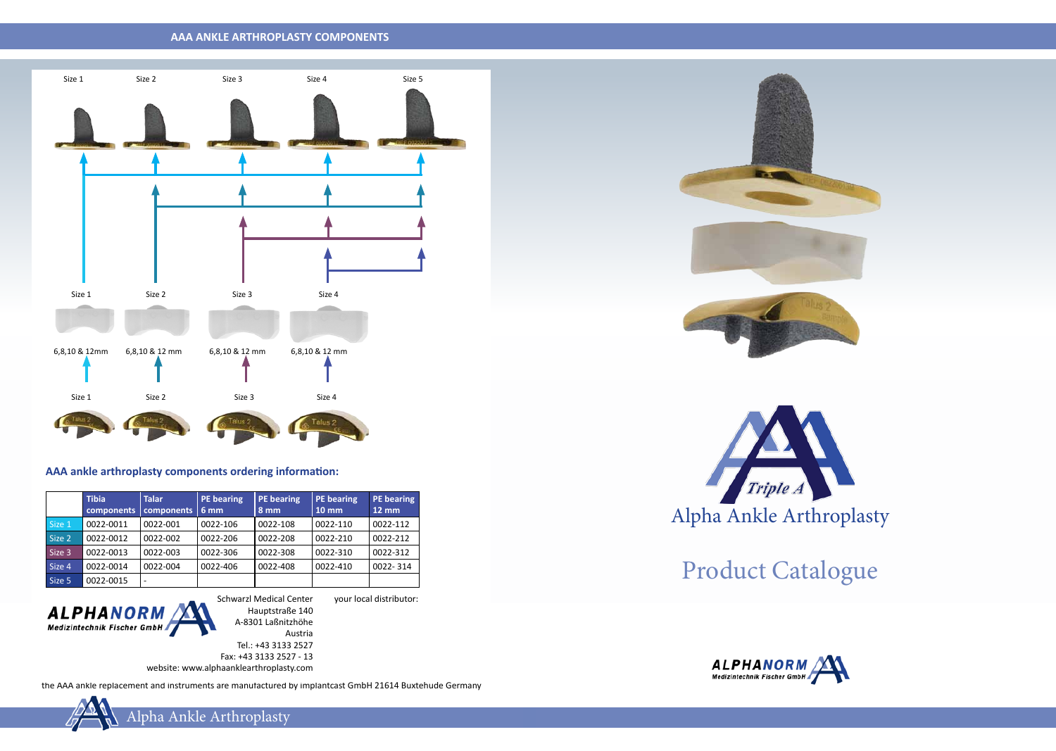### **AAA ANKLE ARTHROPLASTY COMPONENTS**

the AAA ankle replacement and instruments are manufactured by implantcast GmbH 21614 Buxtehude Germany





Schwarzl Medical Center Hauptstraße 140 A-8301 Laßnitzhöhe Austria

Tel.: +43 3133 2527

|        | <b>Tibia</b><br>components | <b>Talar</b><br>components | <b>PE</b> bearing<br>6 mm | <b>PE</b> bearing<br>8 mm | PE bearing<br>$10 \, \text{mm}$ | <b>PE</b> bearing<br>$12 \, \text{mm}$ |
|--------|----------------------------|----------------------------|---------------------------|---------------------------|---------------------------------|----------------------------------------|
| Size 1 | 0022-0011                  | 0022-001                   | 0022-106                  | 0022-108                  | 0022-110                        | 0022-112                               |
| Size 2 | 0022-0012                  | 0022-002                   | 0022-206                  | 0022-208                  | 0022-210                        | 0022-212                               |
| Size 3 | 0022-0013                  | 0022-003                   | 0022-306                  | 0022-308                  | 0022-310                        | 0022-312                               |
| Size 4 | 0022-0014                  | 0022-004                   | 0022-406                  | 0022-408                  | 0022-410                        | 0022-314                               |
| Size 5 | 0022-0015                  |                            |                           |                           |                                 |                                        |



Fax: +43 3133 2527 - 13 website: www.alphaanklearthroplasty.com

### **AAA ankle arthroplasty components ordering information:**

your local distributor:



Product Catalogue